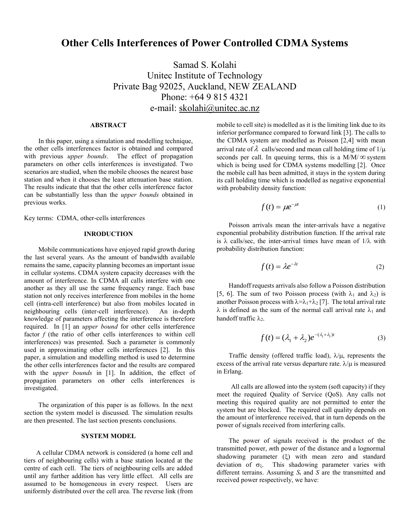# **Other Cells Interferences of Power Controlled CDMA Systems**

Samad S. Kolahi Unitec Institute of Technology Private Bag 92025, Auckland, NEW ZEALAND Phone: +64 9 815 4321 e-mail: skolahi@unitec.ac.nz

## **ABSTRACT**

In this paper, using a simulation and modelling technique, the other cells interferences factor is obtained and compared with previous *upper bounds*. The effect of propagation parameters on other cells interferences is investigated. Two scenarios are studied, when the mobile chooses the nearest base station and when it chooses the least attenuation base station. The results indicate that that the other cells interference factor can be substantially less than the *upper bounds* obtained in previous works.

Key terms: CDMA, other-cells interferences

## **INRODUCTION**

Mobile communications have enjoyed rapid growth during the last several years. As the amount of bandwidth available remains the same, capacity planning becomes an important issue in cellular systems. CDMA system capacity decreases with the amount of interference. In CDMA all calls interfere with one another as they all use the same frequency range. Each base station not only receives interference from mobiles in the home cell (intra-cell interference) but also from mobiles located in neighbouring cells (inter-cell interference). An in-depth knowledge of parameters affecting the interference is therefore required. In [1] an *upper bound* for other cells interference factor *f* (the ratio of other cells interferences to within cell interferences) was presented. Such a parameter is commonly used in approximating other cells interferences [2]. In this paper, a simulation and modelling method is used to determine the other cells interferences factor and the results are compared with the *upper bounds* in [1]. In addition, the effect of propagation parameters on other cells interferences is investigated.

The organization of this paper is as follows. In the next section the system model is discussed. The simulation results are then presented. The last section presents conclusions.

## **SYSTEM MODEL**

A cellular CDMA network is considered (a home cell and tiers of neighbouring cells) with a base station located at the centre of each cell. The tiers of neighbouring cells are added until any further addition has very little effect. All cells are assumed to be homogeneous in every respect. Users are uniformly distributed over the cell area. The reverse link (from

mobile to cell site) is modelled as it is the limiting link due to its inferior performance compared to forward link [3]. The calls to the CDMA system are modelled as Poisson [2,4] with mean arrival rate of  $\lambda$  calls/second and mean call holding time of  $1/\mu$ seconds per call. In queuing terms, this is a  $M/M/\infty$  system which is being used for CDMA systems modelling [2]. Once the mobile call has been admitted, it stays in the system during its call holding time which is modelled as negative exponential with probability density function:

$$
f(t) = \mu e^{-\mu t} \tag{1}
$$

Poisson arrivals mean the inter-arrivals have a negative exponential probability distribution function. If the arrival rate is  $\lambda$  calls/sec, the inter-arrival times have mean of  $1/\lambda$  with probability distribution function:

$$
f(t) = \lambda e^{-\lambda t} \tag{2}
$$

Handoff requests arrivals also follow a Poisson distribution [5, 6]. The sum of two Poisson process (with  $\lambda_1$  and  $\lambda_2$ ) is another Poisson process with  $\lambda = \lambda_1 + \lambda_2$  [7]. The total arrival rate  $\lambda$  is defined as the sum of the normal call arrival rate  $\lambda_1$  and handoff traffic  $\lambda_2$ .

$$
f(t) = (\lambda_1 + \lambda_2)e^{-(\lambda_1 + \lambda_1)t}
$$
 (3)

Traffic density (offered traffic load),  $\lambda/\mu$ , represents the excess of the arrival rate versus departure rate.  $\lambda/\mu$  is measured in Erlang.

All calls are allowed into the system (soft capacity) if they meet the required Quality of Service (QoS). Any calls not meeting this required quality are not permitted to enter the system but are blocked. The required call quality depends on the amount of interference received, that in turn depends on the power of signals received from interfering calls.

The power of signals received is the product of the transmitted power, *m*th power of the distance and a lognormal shadowing parameter  $(\xi)$  with mean zero and standard deviation of  $\sigma_{\xi}$ . This shadowing parameter varies with different terrains. Assuming  $S_t$  and  $\overline{S}$  are the transmitted and received power respectively, we have: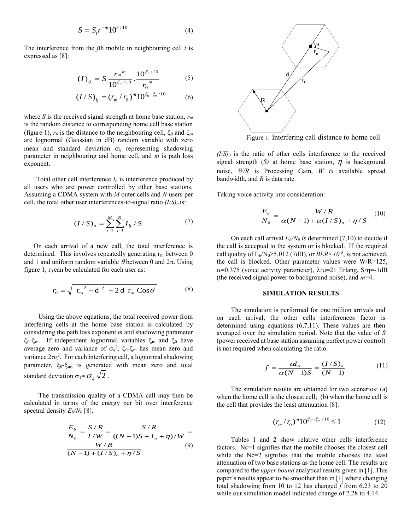$$
S = S_t r^{-m} 10^{\xi/10}
$$
 (4)

The interference from the *j*th mobile in neighbouring cell *i* is expressed as [8]:

$$
(I)_{ij} = S \frac{r_m^m}{10^{\xi_m/10}} \cdot \frac{10^{\xi_0/10}}{r_0^m} \tag{5}
$$

$$
(I/S)_{ij} = (r_m/r_0)^m 10^{\xi_0 - \xi_m/10}
$$
 (6)

where *S* is the received signal strength at home base station, *r<sup>m</sup>* is the random distance to corresponding home cell base station (figure 1),  $r_0$  is the distance to the neighbouring cell,  $\xi_0$  and  $\xi_m$ are lognormal (Gaussian in dB) random variable with zero mean and standard deviation  $\sigma_{\xi}$  representing shadowing parameter in neighbouring and home cell, and *m* is path loss exponent.

Total other cell interference *I*<sup>o</sup> is interference produced by all users who are power controlled by other base stations. Assuming a CDMA system with *M* outer cells and *N* users per cell, the total other user interferences-to-signal ratio *(I/S)<sup>o</sup>* is:

$$
(I/S)_{o} = \sum_{i=1}^{M} \sum_{j=1}^{N} I_{ij} / S \tag{7}
$$

On each arrival of a new call, the total interference is determined. This involves repeatedly generating  $r_m$  between 0 and 1 and uniform random variable  $\theta$  between 0 and  $2\pi$ . Using figure 1,  $r_0$  can be calculated for each user as:

$$
r_0 = \sqrt{\mathbf{r}_m^2 + \mathbf{d}^2 + 2\mathbf{d}\mathbf{r}_m \cos \theta}
$$
 (8)

Using the above equations, the total received power from interfering cells at the home base station is calculated by considering the path loss exponent *m* and shadowing parameter  $\xi_0$ - $\xi_m$ . If independent lognormal variables  $\xi_m$  and  $\xi_0$  have average zero and variance of  $\sigma \xi^2$ ,  $\xi_0$ - $\xi_m$  has mean zero and variance  $2\sigma_{\xi}^2$ . For each interfering call, a lognormal shadowing parameter,  $\xi_0$ - $\xi_m$ , is generated with mean zero and total standard deviation  $\sigma_T = \sigma_g \sqrt{2}$ .

The transmission quality of a CDMA call may then be calculated in terms of the energy per bit over interference spectral density  $E_b/N_0$  [8].

$$
\frac{E_b}{N_0} = \frac{S/R}{I/W} = \frac{S/R}{((N-1)S + I_o + \eta)/W} = \frac{W/R}{(N-1) + (I/S)_o + \eta/S}
$$
(9)



Figure 1*.* Interfering call distance to home cell

 $(I/S)_0$  is the ratio of other cells interference to the received signal strength  $(S)$  at home base station,  $\eta$  is background noise, *W/R* is Processing Gain, *W is* available spread bandwidth, and *R* is data rate.

Taking voice activity into consideration:

$$
\frac{E_b}{N_0} = \frac{W/R}{\alpha (N-1) + \alpha (I/S)_o + \eta / S} \quad (10)
$$

On each call arrival  $E_b/N_0$  *is* determined (7,10) to decide if the call is accepted to the system or is blocked. If the required call quality of  $E_b/N_0 \geq 5.012$  (7dB), or *BER*<10<sup>-3</sup>, is not achieved, the call is blocked. Other parameter values were W/R=125,  $\alpha$ =0.375 (voice activity parameter),  $\lambda/\mu$ =21 Erlang, S/n=-1dB (the received signal power to background noise), and *m*=4.

#### **SIMULATION RESULTS**

The simulation is performed for one million arrivals and on each arrival, the other cells interferences factor is determined using equations (6,7,11). These values are then averaged over the simulation period. Note that the value of *S* (power received at base station assuming perfect power control) is not required when calculating the ratio.

$$
f = \frac{\alpha I_o}{\alpha (N-1)S} = \frac{(I/S)_o}{(N-1)}
$$
(11)

The simulation results are obtained for two scenarios: (a) when the home cell is the closest cell; (b) when the home cell is the cell that provides the least attenuation [8]:

$$
(r_m/r_0)^m 10^{\xi_0 - \xi_m / 10} \le 1 \tag{12}
$$

Tables 1 and 2 show relative other cells interference factors. Nc=1 signifies that the mobile chooses the closest cell while the Nc=2 signifies that the mobile chooses the least attenuation of two base stations as the home cell. The results are compared to the *upper bound* analytical results given in [1]. This paper's results appear to be smoother than in [1] where changing total shadowing from 10 to 12 has changed *f* from 6.23 to 20 while our simulation model indicated change of 2.28 to 4.14.